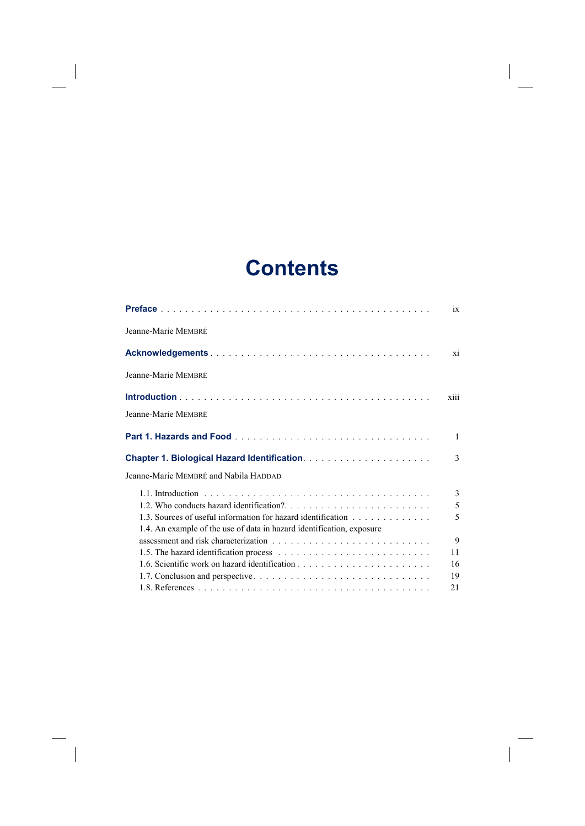## **Contents**

 $\overline{\phantom{a}}$ 

 $\overline{\phantom{a}}$ 

 $\begin{array}{c} \hline \end{array}$ 

|                                                                       | ix     |
|-----------------------------------------------------------------------|--------|
| Jeanne-Marie MEMBRÉ                                                   |        |
|                                                                       | xi     |
| Jeanne-Marie MEMBRÉ                                                   |        |
|                                                                       | xiii   |
| Jeanne-Marie MEMBRÉ                                                   |        |
|                                                                       | 1      |
|                                                                       | 3      |
| Jeanne-Marie MEMBRÉ and Nabila HADDAD                                 |        |
|                                                                       | 3      |
| 1.3. Sources of useful information for hazard identification          | 5<br>5 |
| 1.4. An example of the use of data in hazard identification, exposure | 9      |
|                                                                       | 11     |
|                                                                       | 16     |
|                                                                       | 19     |
|                                                                       | 21     |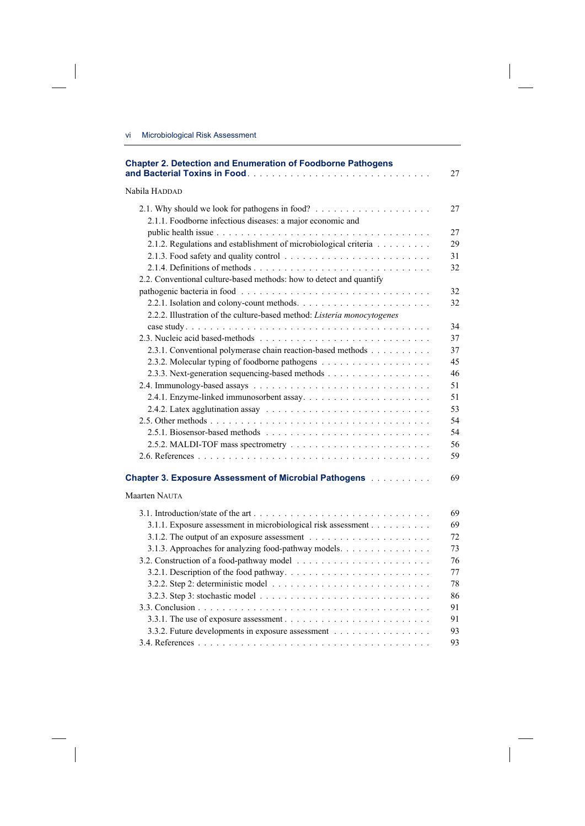$\overline{\phantom{a}}$ 

 $\begin{array}{c} \hline \end{array}$ 

| <b>Chapter 2. Detection and Enumeration of Foodborne Pathogens</b>                             | 27 |
|------------------------------------------------------------------------------------------------|----|
| Nabila Haddad                                                                                  |    |
|                                                                                                | 27 |
| 2.1.1. Foodborne infectious diseases: a major economic and                                     |    |
|                                                                                                | 27 |
| 2.1.2. Regulations and establishment of microbiological criteria                               | 29 |
|                                                                                                | 31 |
|                                                                                                | 32 |
| 2.2. Conventional culture-based methods: how to detect and quantify                            |    |
|                                                                                                | 32 |
|                                                                                                | 32 |
| 2.2.2. Illustration of the culture-based method: Listeria monocytogenes                        |    |
|                                                                                                | 34 |
|                                                                                                | 37 |
| 2.3.1. Conventional polymerase chain reaction-based methods                                    | 37 |
|                                                                                                | 45 |
| 2.3.3. Next-generation sequencing-based methods                                                | 46 |
|                                                                                                | 51 |
|                                                                                                | 51 |
|                                                                                                | 53 |
|                                                                                                | 54 |
|                                                                                                | 54 |
|                                                                                                | 56 |
|                                                                                                | 59 |
| <b>Chapter 3. Exposure Assessment of Microbial Pathogens Administration</b>                    | 69 |
| Maarten NAUTA                                                                                  |    |
|                                                                                                | 69 |
| 3.1.1. Exposure assessment in microbiological risk assessment                                  | 69 |
| 3.1.2. The output of an exposure assessment $\ldots \ldots \ldots \ldots \ldots \ldots \ldots$ | 72 |
| 3.1.3. Approaches for analyzing food-pathway models.                                           | 73 |
|                                                                                                | 76 |
|                                                                                                | 77 |
|                                                                                                | 78 |
|                                                                                                | 86 |
|                                                                                                | 91 |
|                                                                                                | 91 |
| 3.3.2. Future developments in exposure assessment                                              | 93 |
|                                                                                                | 93 |

 $\overline{\phantom{a}}$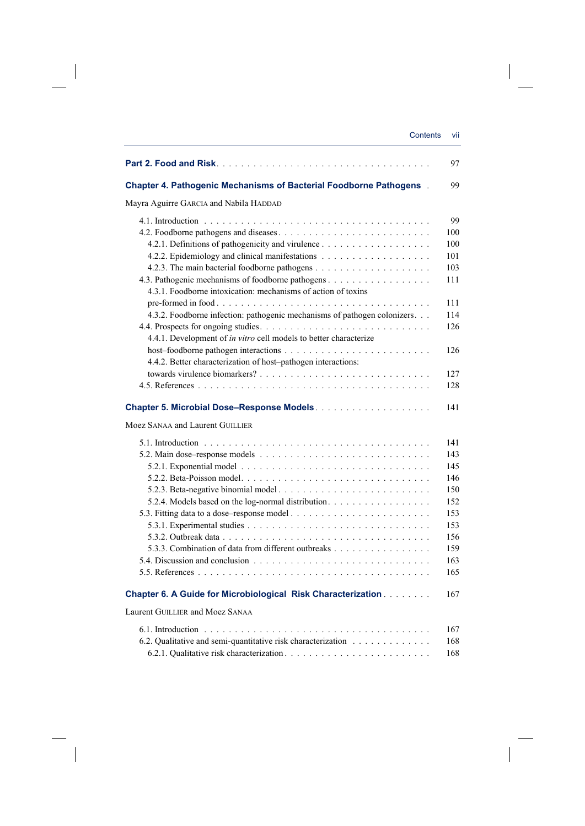| <b>Chapter 4. Pathogenic Mechanisms of Bacterial Foodborne Pathogens.</b> |  |
|---------------------------------------------------------------------------|--|
| Mayra Aguirre GARCIA and Nabila HADDAD                                    |  |
|                                                                           |  |
| 4.2. Foodborne pathogens and diseases                                     |  |
|                                                                           |  |
|                                                                           |  |
|                                                                           |  |
|                                                                           |  |
| 4.3.1. Foodborne intoxication: mechanisms of action of toxins             |  |
|                                                                           |  |
| 4.3.2. Foodborne infection: pathogenic mechanisms of pathogen colonizers. |  |
| 4.4.1. Development of in vitro cell models to better characterize         |  |
|                                                                           |  |
| 4.4.2. Better characterization of host-pathogen interactions:             |  |
|                                                                           |  |
|                                                                           |  |
|                                                                           |  |
|                                                                           |  |
| Moez SANAA and Laurent GUILLIER                                           |  |
|                                                                           |  |
|                                                                           |  |
|                                                                           |  |
|                                                                           |  |
|                                                                           |  |
|                                                                           |  |
| 5.2.4. Models based on the log-normal distribution.                       |  |
|                                                                           |  |
|                                                                           |  |
|                                                                           |  |
| 5.3.3. Combination of data from different outbreaks                       |  |
|                                                                           |  |
|                                                                           |  |
| <b>Chapter 6. A Guide for Microbiological Risk Characterization</b>       |  |
| Laurent GUILLIER and Moez SANAA                                           |  |